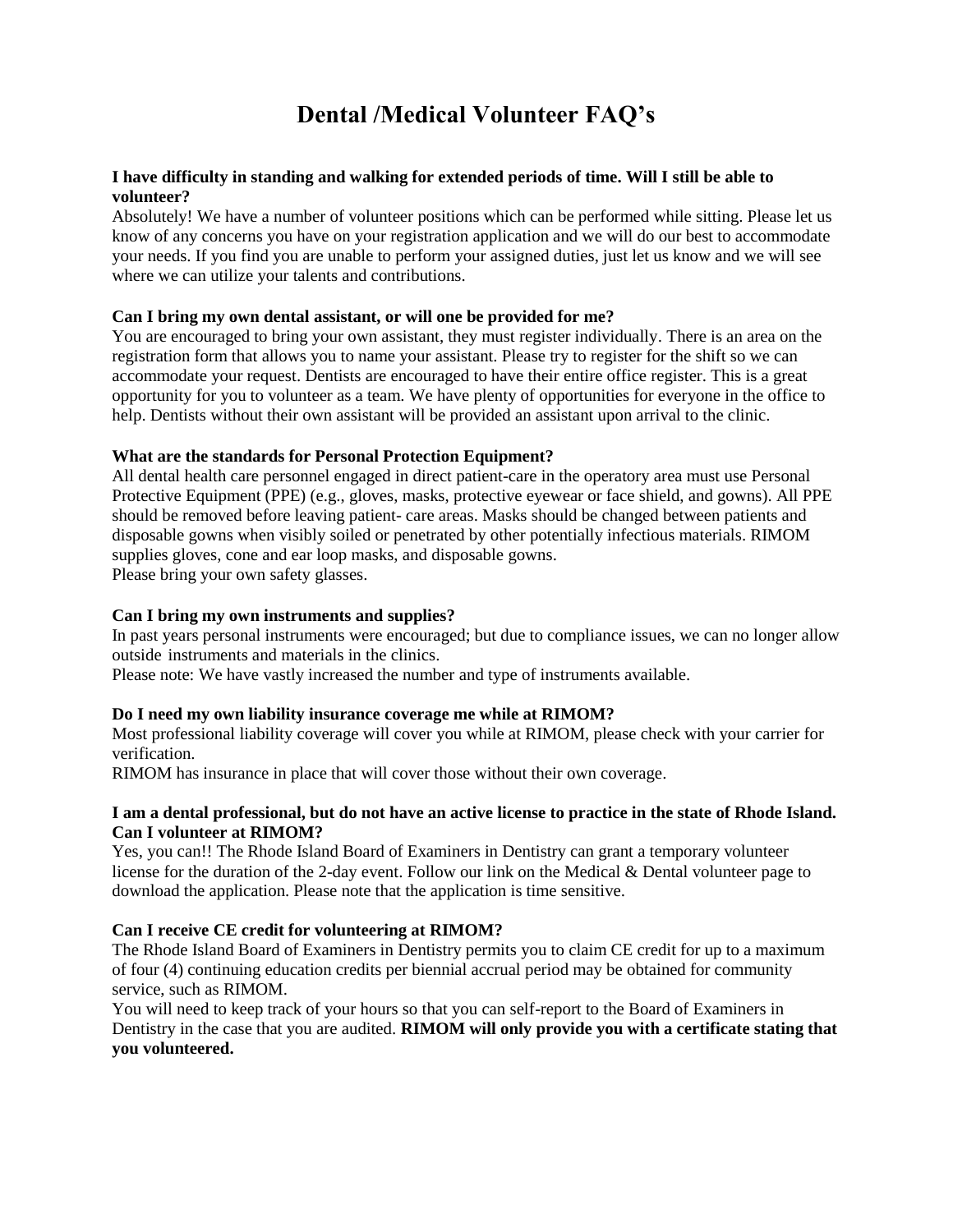# **Dental /Medical Volunteer FAQ's**

# **I have difficulty in standing and walking for extended periods of time. Will I still be able to volunteer?**

Absolutely! We have a number of volunteer positions which can be performed while sitting. Please let us know of any concerns you have on your registration application and we will do our best to accommodate your needs. If you find you are unable to perform your assigned duties, just let us know and we will see where we can utilize your talents and contributions.

# **Can I bring my own dental assistant, or will one be provided for me?**

You are encouraged to bring your own assistant, they must register individually. There is an area on the registration form that allows you to name your assistant. Please try to register for the shift so we can accommodate your request. Dentists are encouraged to have their entire office register. This is a great opportunity for you to volunteer as a team. We have plenty of opportunities for everyone in the office to help. Dentists without their own assistant will be provided an assistant upon arrival to the clinic.

## **What are the standards for Personal Protection Equipment?**

All dental health care personnel engaged in direct patient-care in the operatory area must use Personal Protective Equipment (PPE) (e.g., gloves, masks, protective eyewear or face shield, and gowns). All PPE should be removed before leaving patient- care areas. Masks should be changed between patients and disposable gowns when visibly soiled or penetrated by other potentially infectious materials. RIMOM supplies gloves, cone and ear loop masks, and disposable gowns. Please bring your own safety glasses.

# **Can I bring my own instruments and supplies?**

In past years personal instruments were encouraged; but due to compliance issues, we can no longer allow outside instruments and materials in the clinics.

Please note: We have vastly increased the number and type of instruments available.

#### **Do I need my own liability insurance coverage me while at RIMOM?**

Most professional liability coverage will cover you while at RIMOM, please check with your carrier for verification.

RIMOM has insurance in place that will cover those without their own coverage.

# **I am a dental professional, but do not have an active license to practice in the state of Rhode Island. Can I volunteer at RIMOM?**

Yes, you can!! The Rhode Island Board of Examiners in Dentistry can grant a temporary volunteer license for the duration of the 2-day event. Follow our link on the Medical & Dental volunteer page to download the application. Please note that the application is time sensitive.

#### **Can I receive CE credit for volunteering at RIMOM?**

The Rhode Island Board of Examiners in Dentistry permits you to claim CE credit for up to a maximum of four (4) continuing education credits per biennial accrual period may be obtained for community service, such as RIMOM.

You will need to keep track of your hours so that you can self-report to the Board of Examiners in Dentistry in the case that you are audited. **RIMOM will only provide you with a certificate stating that you volunteered.**